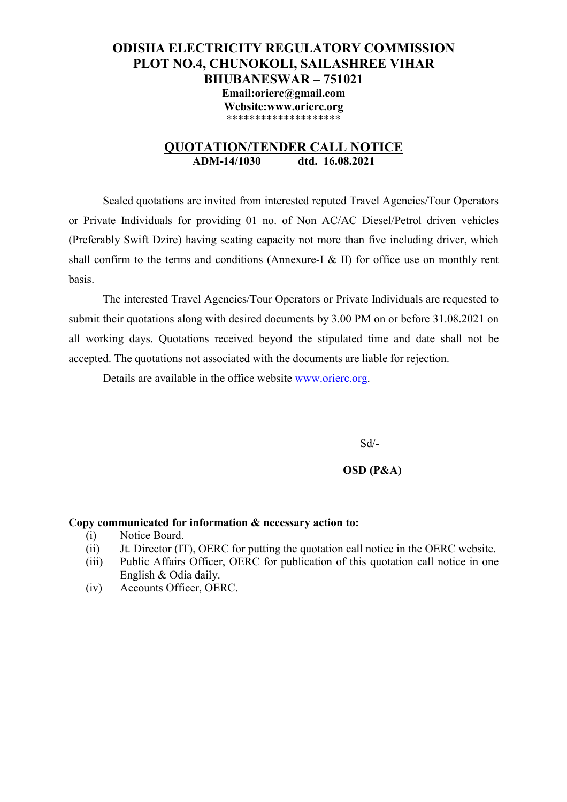## **ODISHA ELECTRICITY REGULATORY COMMISSION PLOT NO.4, CHUNOKOLI, SAILASHREE VIHAR BHUBANESWAR – 751021 Email:orierc@gmail.com Website:www.orierc.org**  \*\*\*\*\*\*\*\*\*\*\*\*\*\*\*\*\*\*\*\*

### **QUOTATION/TENDER CALL NOTICE ADM-14/1030 dtd. 16.08.2021**

 Sealed quotations are invited from interested reputed Travel Agencies/Tour Operators or Private Individuals for providing 01 no. of Non AC/AC Diesel/Petrol driven vehicles (Preferably Swift Dzire) having seating capacity not more than five including driver, which shall confirm to the terms and conditions (Annexure-I & II) for office use on monthly rent basis.

 The interested Travel Agencies/Tour Operators or Private Individuals are requested to submit their quotations along with desired documents by 3.00 PM on or before 31.08.2021 on all working days. Quotations received beyond the stipulated time and date shall not be accepted. The quotations not associated with the documents are liable for rejection.

Details are available in the office website www.orierc.org.

Sd/-

#### **OSD (P&A)**

#### **Copy communicated for information & necessary action to:**

- (i) Notice Board.
- (ii) Jt. Director (IT), OERC for putting the quotation call notice in the OERC website.
- (iii) Public Affairs Officer, OERC for publication of this quotation call notice in one English & Odia daily.
- (iv) Accounts Officer, OERC.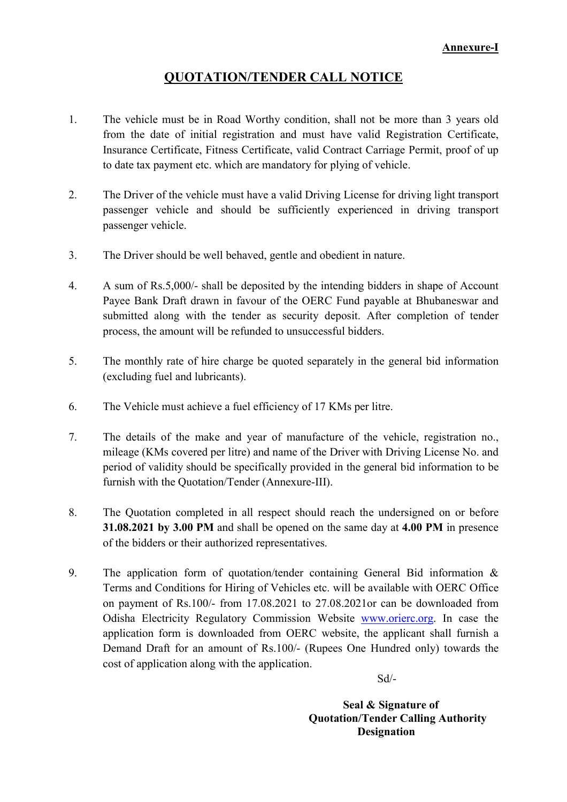## **QUOTATION/TENDER CALL NOTICE**

- 1. The vehicle must be in Road Worthy condition, shall not be more than 3 years old from the date of initial registration and must have valid Registration Certificate, Insurance Certificate, Fitness Certificate, valid Contract Carriage Permit, proof of up to date tax payment etc. which are mandatory for plying of vehicle.
- 2. The Driver of the vehicle must have a valid Driving License for driving light transport passenger vehicle and should be sufficiently experienced in driving transport passenger vehicle.
- 3. The Driver should be well behaved, gentle and obedient in nature.
- 4. A sum of Rs.5,000/- shall be deposited by the intending bidders in shape of Account Payee Bank Draft drawn in favour of the OERC Fund payable at Bhubaneswar and submitted along with the tender as security deposit. After completion of tender process, the amount will be refunded to unsuccessful bidders.
- 5. The monthly rate of hire charge be quoted separately in the general bid information (excluding fuel and lubricants).
- 6. The Vehicle must achieve a fuel efficiency of 17 KMs per litre.
- 7. The details of the make and year of manufacture of the vehicle, registration no., mileage (KMs covered per litre) and name of the Driver with Driving License No. and period of validity should be specifically provided in the general bid information to be furnish with the Quotation/Tender (Annexure-III).
- 8. The Quotation completed in all respect should reach the undersigned on or before **31.08.2021 by 3.00 PM** and shall be opened on the same day at **4.00 PM** in presence of the bidders or their authorized representatives.
- 9. The application form of quotation/tender containing General Bid information & Terms and Conditions for Hiring of Vehicles etc. will be available with OERC Office on payment of Rs.100/- from 17.08.2021 to 27.08.2021or can be downloaded from Odisha Electricity Regulatory Commission Website www.orierc.org. In case the application form is downloaded from OERC website, the applicant shall furnish a Demand Draft for an amount of Rs.100/- (Rupees One Hundred only) towards the cost of application along with the application.

Sd/-

**Seal & Signature of Quotation/Tender Calling Authority Designation**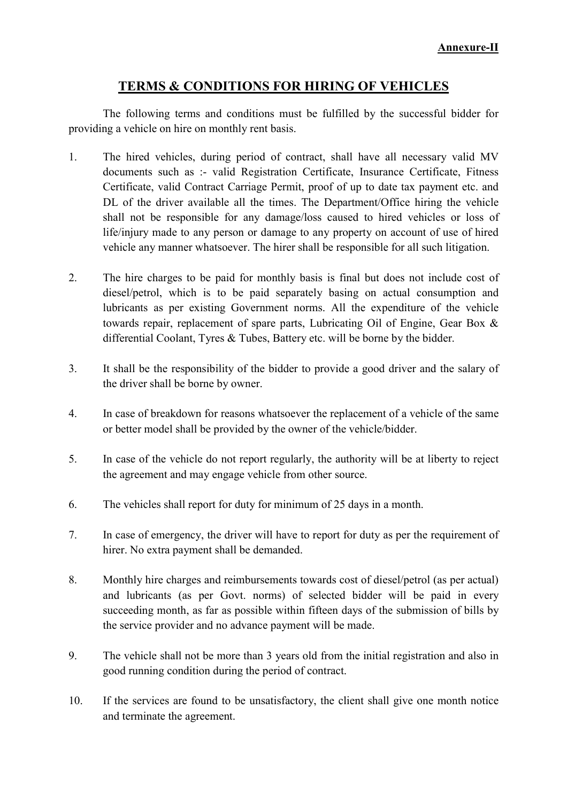# **TERMS & CONDITIONS FOR HIRING OF VEHICLES**

 The following terms and conditions must be fulfilled by the successful bidder for providing a vehicle on hire on monthly rent basis.

- 1. The hired vehicles, during period of contract, shall have all necessary valid MV documents such as :- valid Registration Certificate, Insurance Certificate, Fitness Certificate, valid Contract Carriage Permit, proof of up to date tax payment etc. and DL of the driver available all the times. The Department/Office hiring the vehicle shall not be responsible for any damage/loss caused to hired vehicles or loss of life/injury made to any person or damage to any property on account of use of hired vehicle any manner whatsoever. The hirer shall be responsible for all such litigation.
- 2. The hire charges to be paid for monthly basis is final but does not include cost of diesel/petrol, which is to be paid separately basing on actual consumption and lubricants as per existing Government norms. All the expenditure of the vehicle towards repair, replacement of spare parts, Lubricating Oil of Engine, Gear Box & differential Coolant, Tyres & Tubes, Battery etc. will be borne by the bidder.
- 3. It shall be the responsibility of the bidder to provide a good driver and the salary of the driver shall be borne by owner.
- 4. In case of breakdown for reasons whatsoever the replacement of a vehicle of the same or better model shall be provided by the owner of the vehicle/bidder.
- 5. In case of the vehicle do not report regularly, the authority will be at liberty to reject the agreement and may engage vehicle from other source.
- 6. The vehicles shall report for duty for minimum of 25 days in a month.
- 7. In case of emergency, the driver will have to report for duty as per the requirement of hirer. No extra payment shall be demanded.
- 8. Monthly hire charges and reimbursements towards cost of diesel/petrol (as per actual) and lubricants (as per Govt. norms) of selected bidder will be paid in every succeeding month, as far as possible within fifteen days of the submission of bills by the service provider and no advance payment will be made.
- 9. The vehicle shall not be more than 3 years old from the initial registration and also in good running condition during the period of contract.
- 10. If the services are found to be unsatisfactory, the client shall give one month notice and terminate the agreement.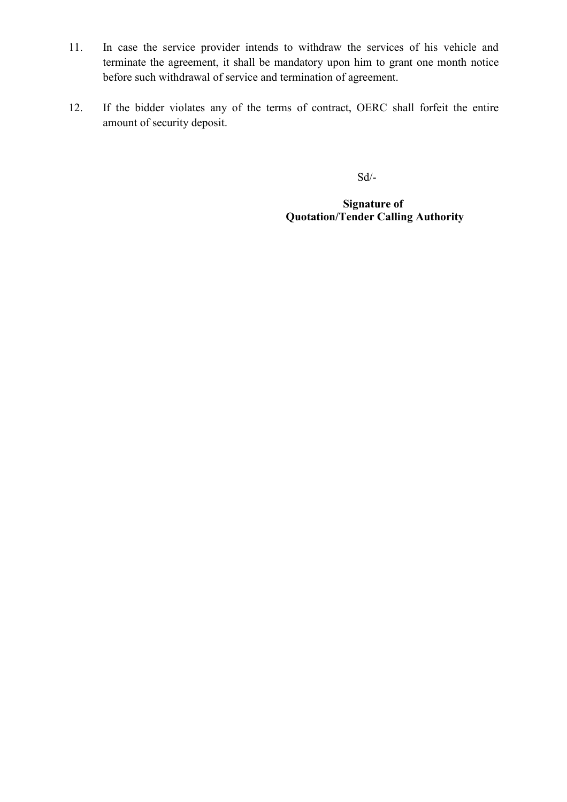- 11. In case the service provider intends to withdraw the services of his vehicle and terminate the agreement, it shall be mandatory upon him to grant one month notice before such withdrawal of service and termination of agreement.
- 12. If the bidder violates any of the terms of contract, OERC shall forfeit the entire amount of security deposit.

Sd/-

**Signature of Quotation/Tender Calling Authority**